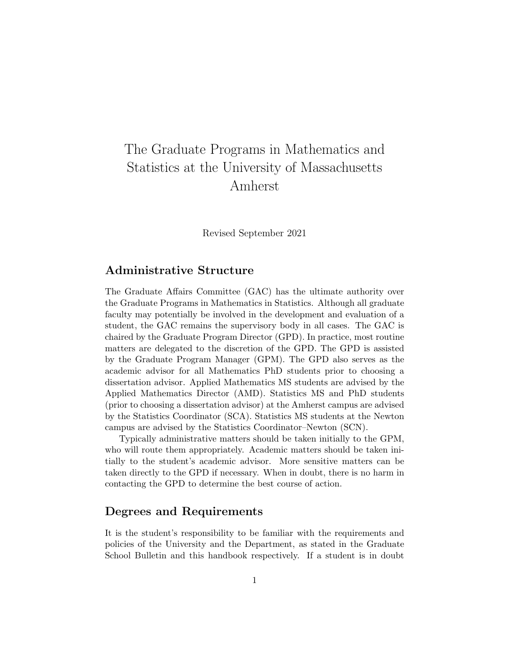# The Graduate Programs in Mathematics and Statistics at the University of Massachusetts Amherst

Revised September 2021

# Administrative Structure

The Graduate Affairs Committee (GAC) has the ultimate authority over the Graduate Programs in Mathematics in Statistics. Although all graduate faculty may potentially be involved in the development and evaluation of a student, the GAC remains the supervisory body in all cases. The GAC is chaired by the Graduate Program Director (GPD). In practice, most routine matters are delegated to the discretion of the GPD. The GPD is assisted by the Graduate Program Manager (GPM). The GPD also serves as the academic advisor for all Mathematics PhD students prior to choosing a dissertation advisor. Applied Mathematics MS students are advised by the Applied Mathematics Director (AMD). Statistics MS and PhD students (prior to choosing a dissertation advisor) at the Amherst campus are advised by the Statistics Coordinator (SCA). Statistics MS students at the Newton campus are advised by the Statistics Coordinator–Newton (SCN).

Typically administrative matters should be taken initially to the GPM, who will route them appropriately. Academic matters should be taken initially to the student's academic advisor. More sensitive matters can be taken directly to the GPD if necessary. When in doubt, there is no harm in contacting the GPD to determine the best course of action.

# Degrees and Requirements

It is the student's responsibility to be familiar with the requirements and policies of the University and the Department, as stated in the Graduate School Bulletin and this handbook respectively. If a student is in doubt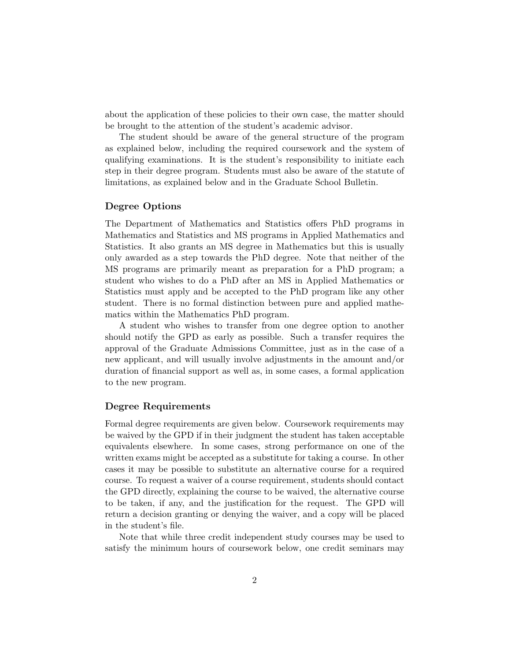about the application of these policies to their own case, the matter should be brought to the attention of the student's academic advisor.

The student should be aware of the general structure of the program as explained below, including the required coursework and the system of qualifying examinations. It is the student's responsibility to initiate each step in their degree program. Students must also be aware of the statute of limitations, as explained below and in the Graduate School Bulletin.

#### Degree Options

The Department of Mathematics and Statistics offers PhD programs in Mathematics and Statistics and MS programs in Applied Mathematics and Statistics. It also grants an MS degree in Mathematics but this is usually only awarded as a step towards the PhD degree. Note that neither of the MS programs are primarily meant as preparation for a PhD program; a student who wishes to do a PhD after an MS in Applied Mathematics or Statistics must apply and be accepted to the PhD program like any other student. There is no formal distinction between pure and applied mathematics within the Mathematics PhD program.

A student who wishes to transfer from one degree option to another should notify the GPD as early as possible. Such a transfer requires the approval of the Graduate Admissions Committee, just as in the case of a new applicant, and will usually involve adjustments in the amount and/or duration of financial support as well as, in some cases, a formal application to the new program.

#### Degree Requirements

Formal degree requirements are given below. Coursework requirements may be waived by the GPD if in their judgment the student has taken acceptable equivalents elsewhere. In some cases, strong performance on one of the written exams might be accepted as a substitute for taking a course. In other cases it may be possible to substitute an alternative course for a required course. To request a waiver of a course requirement, students should contact the GPD directly, explaining the course to be waived, the alternative course to be taken, if any, and the justification for the request. The GPD will return a decision granting or denying the waiver, and a copy will be placed in the student's file.

Note that while three credit independent study courses may be used to satisfy the minimum hours of coursework below, one credit seminars may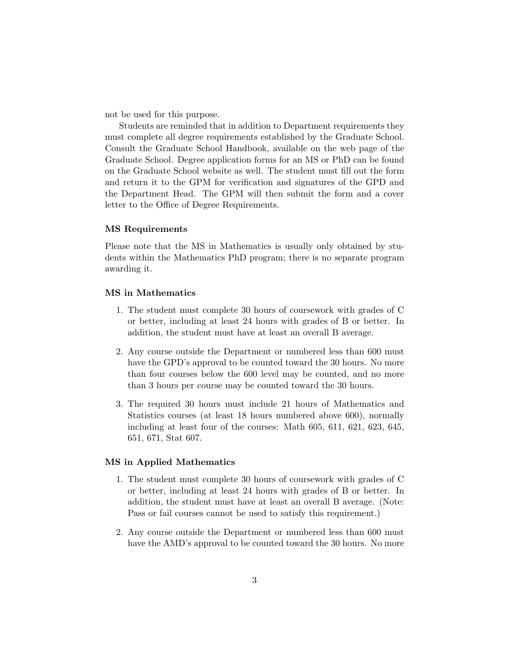not be used for this purpose.

Students are reminded that in addition to Department requirements they must complete all degree requirements established by the Graduate School. Consult the Graduate School Handbook, available on the web page of the Graduate School. Degree application forms for an MS or PhD can be found on the Graduate School website as well. The student must fill out the form and return it to the GPM for verification and signatures of the GPD and the Department Head. The GPM will then submit the form and a cover letter to the Office of Degree Requirements.

#### MS Requirements

Please note that the MS in Mathematics is usually only obtained by students within the Mathematics PhD program; there is no separate program awarding it.

#### MS in Mathematics

- 1. The student must complete 30 hours of coursework with grades of C or better, including at least 24 hours with grades of B or better. In addition, the student must have at least an overall B average.
- 2. Any course outside the Department or numbered less than 600 must have the GPD's approval to be counted toward the 30 hours. No more than four courses below the 600 level may be counted, and no more than 3 hours per course may be counted toward the 30 hours.
- 3. The required 30 hours must include 21 hours of Mathematics and Statistics courses (at least 18 hours numbered above 600), normally including at least four of the courses: Math 605, 611, 621, 623, 645, 651, 671, Stat 607.

#### MS in Applied Mathematics

- 1. The student must complete 30 hours of coursework with grades of C or better, including at least 24 hours with grades of B or better. In addition, the student must have at least an overall B average. (Note: Pass or fail courses cannot be used to satisfy this requirement.)
- 2. Any course outside the Department or numbered less than 600 must have the AMD's approval to be counted toward the 30 hours. No more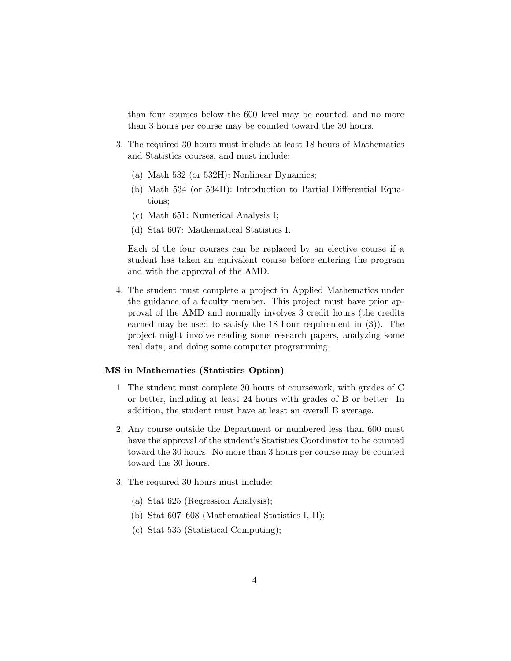than four courses below the 600 level may be counted, and no more than 3 hours per course may be counted toward the 30 hours.

- 3. The required 30 hours must include at least 18 hours of Mathematics and Statistics courses, and must include:
	- (a) Math 532 (or 532H): Nonlinear Dynamics;
	- (b) Math 534 (or 534H): Introduction to Partial Differential Equations;
	- (c) Math 651: Numerical Analysis I;
	- (d) Stat 607: Mathematical Statistics I.

Each of the four courses can be replaced by an elective course if a student has taken an equivalent course before entering the program and with the approval of the AMD.

4. The student must complete a project in Applied Mathematics under the guidance of a faculty member. This project must have prior approval of the AMD and normally involves 3 credit hours (the credits earned may be used to satisfy the 18 hour requirement in (3)). The project might involve reading some research papers, analyzing some real data, and doing some computer programming.

#### MS in Mathematics (Statistics Option)

- 1. The student must complete 30 hours of coursework, with grades of C or better, including at least 24 hours with grades of B or better. In addition, the student must have at least an overall B average.
- 2. Any course outside the Department or numbered less than 600 must have the approval of the student's Statistics Coordinator to be counted toward the 30 hours. No more than 3 hours per course may be counted toward the 30 hours.
- 3. The required 30 hours must include:
	- (a) Stat 625 (Regression Analysis);
	- (b) Stat 607–608 (Mathematical Statistics I, II);
	- (c) Stat 535 (Statistical Computing);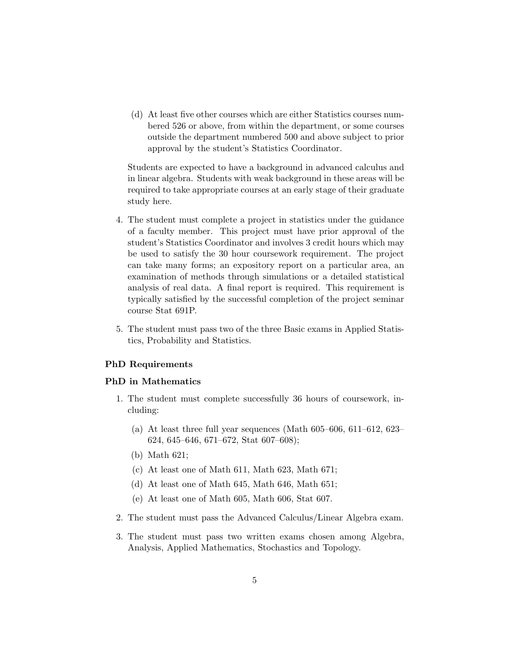(d) At least five other courses which are either Statistics courses numbered 526 or above, from within the department, or some courses outside the department numbered 500 and above subject to prior approval by the student's Statistics Coordinator.

Students are expected to have a background in advanced calculus and in linear algebra. Students with weak background in these areas will be required to take appropriate courses at an early stage of their graduate study here.

- 4. The student must complete a project in statistics under the guidance of a faculty member. This project must have prior approval of the student's Statistics Coordinator and involves 3 credit hours which may be used to satisfy the 30 hour coursework requirement. The project can take many forms; an expository report on a particular area, an examination of methods through simulations or a detailed statistical analysis of real data. A final report is required. This requirement is typically satisfied by the successful completion of the project seminar course Stat 691P.
- 5. The student must pass two of the three Basic exams in Applied Statistics, Probability and Statistics.

#### PhD Requirements

#### PhD in Mathematics

- 1. The student must complete successfully 36 hours of coursework, including:
	- (a) At least three full year sequences (Math 605–606, 611–612, 623– 624, 645–646, 671–672, Stat 607–608);
	- (b) Math 621;
	- (c) At least one of Math 611, Math 623, Math 671;
	- (d) At least one of Math 645, Math 646, Math 651;
	- (e) At least one of Math 605, Math 606, Stat 607.
- 2. The student must pass the Advanced Calculus/Linear Algebra exam.
- 3. The student must pass two written exams chosen among Algebra, Analysis, Applied Mathematics, Stochastics and Topology.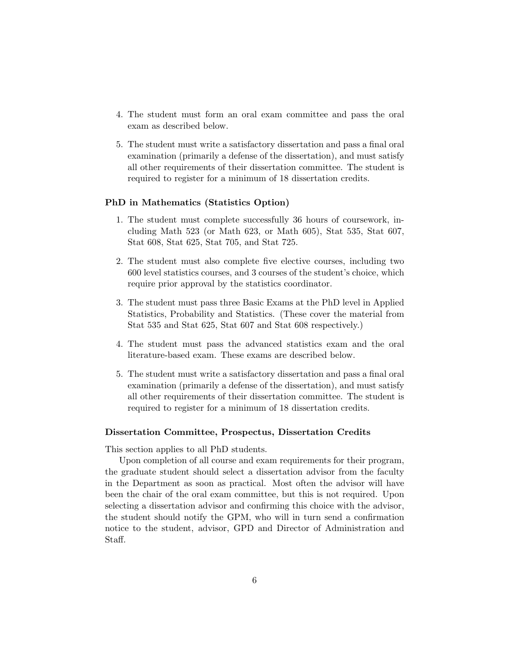- 4. The student must form an oral exam committee and pass the oral exam as described below.
- 5. The student must write a satisfactory dissertation and pass a final oral examination (primarily a defense of the dissertation), and must satisfy all other requirements of their dissertation committee. The student is required to register for a minimum of 18 dissertation credits.

#### PhD in Mathematics (Statistics Option)

- 1. The student must complete successfully 36 hours of coursework, including Math 523 (or Math 623, or Math 605), Stat 535, Stat 607, Stat 608, Stat 625, Stat 705, and Stat 725.
- 2. The student must also complete five elective courses, including two 600 level statistics courses, and 3 courses of the student's choice, which require prior approval by the statistics coordinator.
- 3. The student must pass three Basic Exams at the PhD level in Applied Statistics, Probability and Statistics. (These cover the material from Stat 535 and Stat 625, Stat 607 and Stat 608 respectively.)
- 4. The student must pass the advanced statistics exam and the oral literature-based exam. These exams are described below.
- 5. The student must write a satisfactory dissertation and pass a final oral examination (primarily a defense of the dissertation), and must satisfy all other requirements of their dissertation committee. The student is required to register for a minimum of 18 dissertation credits.

#### Dissertation Committee, Prospectus, Dissertation Credits

This section applies to all PhD students.

Upon completion of all course and exam requirements for their program, the graduate student should select a dissertation advisor from the faculty in the Department as soon as practical. Most often the advisor will have been the chair of the oral exam committee, but this is not required. Upon selecting a dissertation advisor and confirming this choice with the advisor, the student should notify the GPM, who will in turn send a confirmation notice to the student, advisor, GPD and Director of Administration and Staff.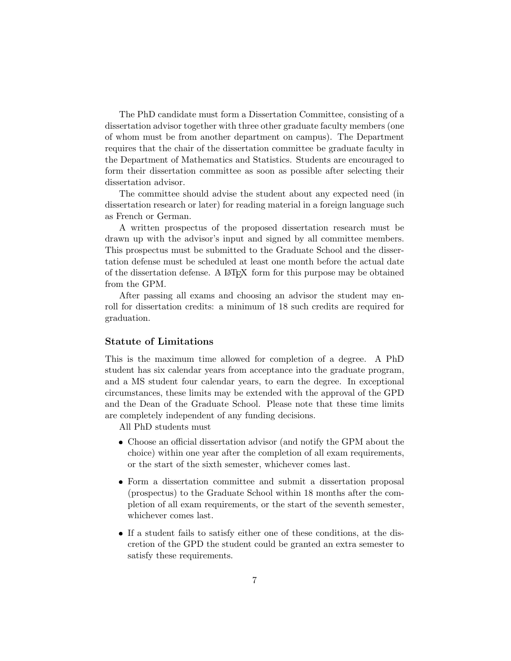The PhD candidate must form a Dissertation Committee, consisting of a dissertation advisor together with three other graduate faculty members (one of whom must be from another department on campus). The Department requires that the chair of the dissertation committee be graduate faculty in the Department of Mathematics and Statistics. Students are encouraged to form their dissertation committee as soon as possible after selecting their dissertation advisor.

The committee should advise the student about any expected need (in dissertation research or later) for reading material in a foreign language such as French or German.

A written prospectus of the proposed dissertation research must be drawn up with the advisor's input and signed by all committee members. This prospectus must be submitted to the Graduate School and the dissertation defense must be scheduled at least one month before the actual date of the dissertation defense. A LATEX form for this purpose may be obtained from the GPM.

After passing all exams and choosing an advisor the student may enroll for dissertation credits: a minimum of 18 such credits are required for graduation.

#### Statute of Limitations

This is the maximum time allowed for completion of a degree. A PhD student has six calendar years from acceptance into the graduate program, and a MS student four calendar years, to earn the degree. In exceptional circumstances, these limits may be extended with the approval of the GPD and the Dean of the Graduate School. Please note that these time limits are completely independent of any funding decisions.

All PhD students must

- Choose an official dissertation advisor (and notify the GPM about the choice) within one year after the completion of all exam requirements, or the start of the sixth semester, whichever comes last.
- Form a dissertation committee and submit a dissertation proposal (prospectus) to the Graduate School within 18 months after the completion of all exam requirements, or the start of the seventh semester, whichever comes last.
- If a student fails to satisfy either one of these conditions, at the discretion of the GPD the student could be granted an extra semester to satisfy these requirements.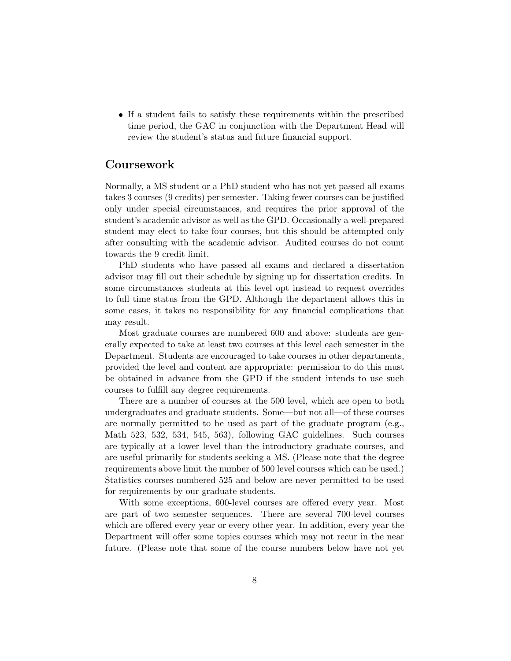If a student fails to satisfy these requirements within the prescribed time period, the GAC in conjunction with the Department Head will review the student's status and future financial support.

# Coursework

Normally, a MS student or a PhD student who has not yet passed all exams takes 3 courses (9 credits) per semester. Taking fewer courses can be justified only under special circumstances, and requires the prior approval of the student's academic advisor as well as the GPD. Occasionally a well-prepared student may elect to take four courses, but this should be attempted only after consulting with the academic advisor. Audited courses do not count towards the 9 credit limit.

PhD students who have passed all exams and declared a dissertation advisor may fill out their schedule by signing up for dissertation credits. In some circumstances students at this level opt instead to request overrides to full time status from the GPD. Although the department allows this in some cases, it takes no responsibility for any financial complications that may result.

Most graduate courses are numbered 600 and above: students are generally expected to take at least two courses at this level each semester in the Department. Students are encouraged to take courses in other departments, provided the level and content are appropriate: permission to do this must be obtained in advance from the GPD if the student intends to use such courses to fulfill any degree requirements.

There are a number of courses at the 500 level, which are open to both undergraduates and graduate students. Some—but not all—of these courses are normally permitted to be used as part of the graduate program (e.g., Math 523, 532, 534, 545, 563), following GAC guidelines. Such courses are typically at a lower level than the introductory graduate courses, and are useful primarily for students seeking a MS. (Please note that the degree requirements above limit the number of 500 level courses which can be used.) Statistics courses numbered 525 and below are never permitted to be used for requirements by our graduate students.

With some exceptions, 600-level courses are offered every year. Most are part of two semester sequences. There are several 700-level courses which are offered every year or every other year. In addition, every year the Department will offer some topics courses which may not recur in the near future. (Please note that some of the course numbers below have not yet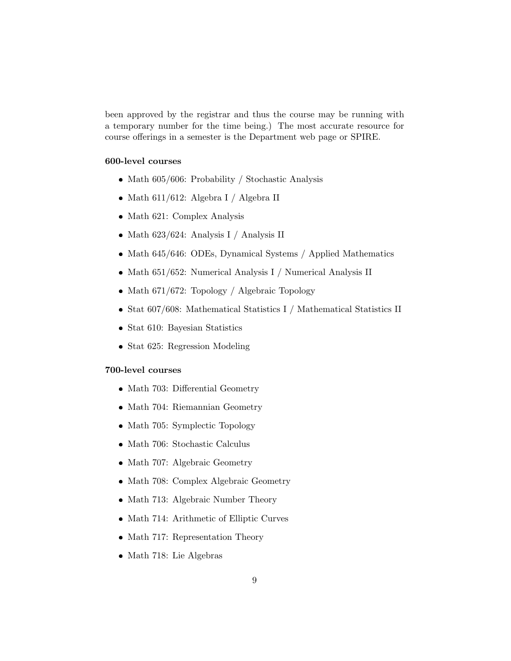been approved by the registrar and thus the course may be running with a temporary number for the time being.) The most accurate resource for course offerings in a semester is the Department web page or SPIRE.

#### 600-level courses

- Math 605/606: Probability / Stochastic Analysis
- $\bullet$  Math 611/612: Algebra I / Algebra II
- Math 621: Complex Analysis
- Math 623/624: Analysis I / Analysis II
- Math 645/646: ODEs, Dynamical Systems / Applied Mathematics
- Math 651/652: Numerical Analysis I / Numerical Analysis II
- Math 671/672: Topology / Algebraic Topology
- Stat 607/608: Mathematical Statistics I / Mathematical Statistics II
- Stat 610: Bayesian Statistics
- Stat 625: Regression Modeling

#### 700-level courses

- Math 703: Differential Geometry
- Math 704: Riemannian Geometry
- Math 705: Symplectic Topology
- Math 706: Stochastic Calculus
- Math 707: Algebraic Geometry
- Math 708: Complex Algebraic Geometry
- Math 713: Algebraic Number Theory
- Math 714: Arithmetic of Elliptic Curves
- Math 717: Representation Theory
- Math 718: Lie Algebras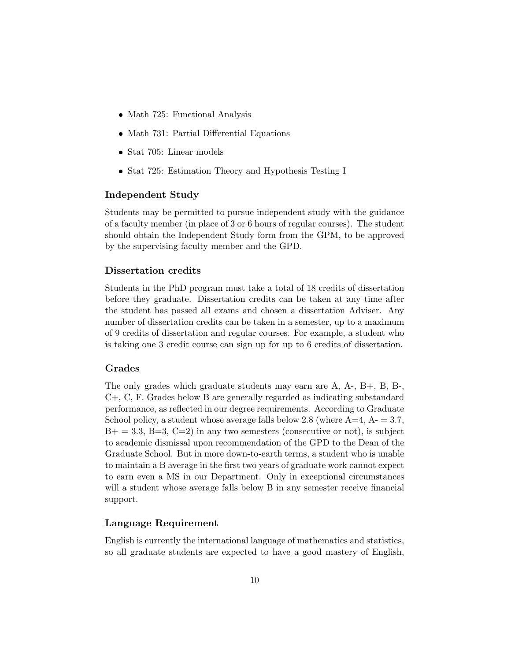- Math 725: Functional Analysis
- Math 731: Partial Differential Equations
- Stat 705: Linear models
- Stat 725: Estimation Theory and Hypothesis Testing I

#### Independent Study

Students may be permitted to pursue independent study with the guidance of a faculty member (in place of 3 or 6 hours of regular courses). The student should obtain the Independent Study form from the GPM, to be approved by the supervising faculty member and the GPD.

#### Dissertation credits

Students in the PhD program must take a total of 18 credits of dissertation before they graduate. Dissertation credits can be taken at any time after the student has passed all exams and chosen a dissertation Adviser. Any number of dissertation credits can be taken in a semester, up to a maximum of 9 credits of dissertation and regular courses. For example, a student who is taking one 3 credit course can sign up for up to 6 credits of dissertation.

#### Grades

The only grades which graduate students may earn are A, A-, B+, B, B-, C+, C, F. Grades below B are generally regarded as indicating substandard performance, as reflected in our degree requirements. According to Graduate School policy, a student whose average falls below 2.8 (where  $A=4, A=3.7$ ,  $B+=3.3, B=3, C=2$ ) in any two semesters (consecutive or not), is subject to academic dismissal upon recommendation of the GPD to the Dean of the Graduate School. But in more down-to-earth terms, a student who is unable to maintain a B average in the first two years of graduate work cannot expect to earn even a MS in our Department. Only in exceptional circumstances will a student whose average falls below B in any semester receive financial support.

### Language Requirement

English is currently the international language of mathematics and statistics, so all graduate students are expected to have a good mastery of English,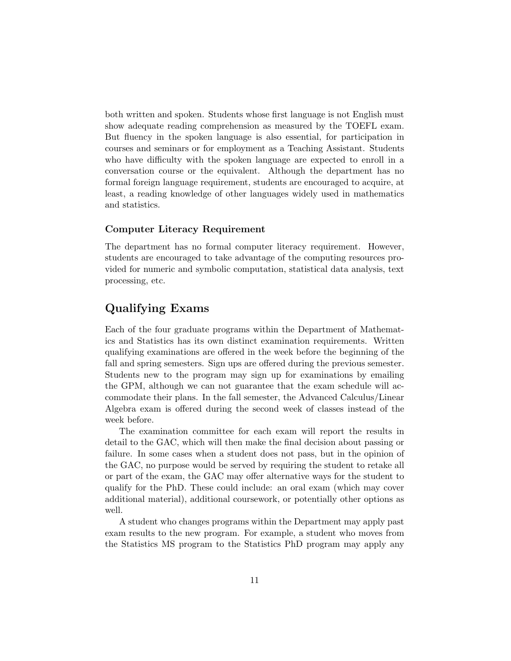both written and spoken. Students whose first language is not English must show adequate reading comprehension as measured by the TOEFL exam. But fluency in the spoken language is also essential, for participation in courses and seminars or for employment as a Teaching Assistant. Students who have difficulty with the spoken language are expected to enroll in a conversation course or the equivalent. Although the department has no formal foreign language requirement, students are encouraged to acquire, at least, a reading knowledge of other languages widely used in mathematics and statistics.

#### Computer Literacy Requirement

The department has no formal computer literacy requirement. However, students are encouraged to take advantage of the computing resources provided for numeric and symbolic computation, statistical data analysis, text processing, etc.

# Qualifying Exams

Each of the four graduate programs within the Department of Mathematics and Statistics has its own distinct examination requirements. Written qualifying examinations are offered in the week before the beginning of the fall and spring semesters. Sign ups are offered during the previous semester. Students new to the program may sign up for examinations by emailing the GPM, although we can not guarantee that the exam schedule will accommodate their plans. In the fall semester, the Advanced Calculus/Linear Algebra exam is offered during the second week of classes instead of the week before.

The examination committee for each exam will report the results in detail to the GAC, which will then make the final decision about passing or failure. In some cases when a student does not pass, but in the opinion of the GAC, no purpose would be served by requiring the student to retake all or part of the exam, the GAC may offer alternative ways for the student to qualify for the PhD. These could include: an oral exam (which may cover additional material), additional coursework, or potentially other options as well.

A student who changes programs within the Department may apply past exam results to the new program. For example, a student who moves from the Statistics MS program to the Statistics PhD program may apply any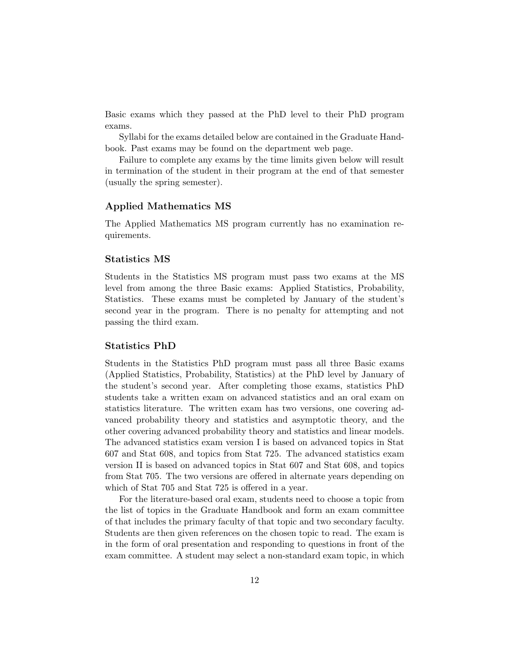Basic exams which they passed at the PhD level to their PhD program exams.

Syllabi for the exams detailed below are contained in the Graduate Handbook. Past exams may be found on the department web page.

Failure to complete any exams by the time limits given below will result in termination of the student in their program at the end of that semester (usually the spring semester).

### Applied Mathematics MS

The Applied Mathematics MS program currently has no examination requirements.

#### Statistics MS

Students in the Statistics MS program must pass two exams at the MS level from among the three Basic exams: Applied Statistics, Probability, Statistics. These exams must be completed by January of the student's second year in the program. There is no penalty for attempting and not passing the third exam.

#### Statistics PhD

Students in the Statistics PhD program must pass all three Basic exams (Applied Statistics, Probability, Statistics) at the PhD level by January of the student's second year. After completing those exams, statistics PhD students take a written exam on advanced statistics and an oral exam on statistics literature. The written exam has two versions, one covering advanced probability theory and statistics and asymptotic theory, and the other covering advanced probability theory and statistics and linear models. The advanced statistics exam version I is based on advanced topics in Stat 607 and Stat 608, and topics from Stat 725. The advanced statistics exam version II is based on advanced topics in Stat 607 and Stat 608, and topics from Stat 705. The two versions are offered in alternate years depending on which of Stat 705 and Stat 725 is offered in a year.

For the literature-based oral exam, students need to choose a topic from the list of topics in the Graduate Handbook and form an exam committee of that includes the primary faculty of that topic and two secondary faculty. Students are then given references on the chosen topic to read. The exam is in the form of oral presentation and responding to questions in front of the exam committee. A student may select a non-standard exam topic, in which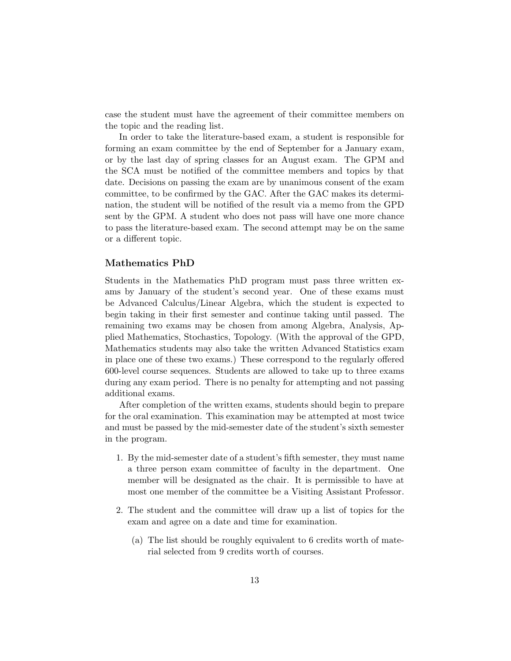case the student must have the agreement of their committee members on the topic and the reading list.

In order to take the literature-based exam, a student is responsible for forming an exam committee by the end of September for a January exam, or by the last day of spring classes for an August exam. The GPM and the SCA must be notified of the committee members and topics by that date. Decisions on passing the exam are by unanimous consent of the exam committee, to be confirmed by the GAC. After the GAC makes its determination, the student will be notified of the result via a memo from the GPD sent by the GPM. A student who does not pass will have one more chance to pass the literature-based exam. The second attempt may be on the same or a different topic.

#### Mathematics PhD

Students in the Mathematics PhD program must pass three written exams by January of the student's second year. One of these exams must be Advanced Calculus/Linear Algebra, which the student is expected to begin taking in their first semester and continue taking until passed. The remaining two exams may be chosen from among Algebra, Analysis, Applied Mathematics, Stochastics, Topology. (With the approval of the GPD, Mathematics students may also take the written Advanced Statistics exam in place one of these two exams.) These correspond to the regularly offered 600-level course sequences. Students are allowed to take up to three exams during any exam period. There is no penalty for attempting and not passing additional exams.

After completion of the written exams, students should begin to prepare for the oral examination. This examination may be attempted at most twice and must be passed by the mid-semester date of the student's sixth semester in the program.

- 1. By the mid-semester date of a student's fifth semester, they must name a three person exam committee of faculty in the department. One member will be designated as the chair. It is permissible to have at most one member of the committee be a Visiting Assistant Professor.
- 2. The student and the committee will draw up a list of topics for the exam and agree on a date and time for examination.
	- (a) The list should be roughly equivalent to 6 credits worth of material selected from 9 credits worth of courses.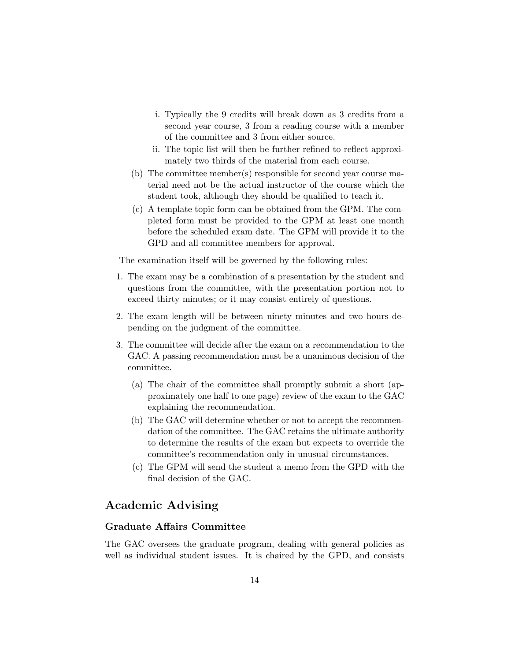- i. Typically the 9 credits will break down as 3 credits from a second year course, 3 from a reading course with a member of the committee and 3 from either source.
- ii. The topic list will then be further refined to reflect approximately two thirds of the material from each course.
- (b) The committee member(s) responsible for second year course material need not be the actual instructor of the course which the student took, although they should be qualified to teach it.
- (c) A template topic form can be obtained from the GPM. The completed form must be provided to the GPM at least one month before the scheduled exam date. The GPM will provide it to the GPD and all committee members for approval.

The examination itself will be governed by the following rules:

- 1. The exam may be a combination of a presentation by the student and questions from the committee, with the presentation portion not to exceed thirty minutes; or it may consist entirely of questions.
- 2. The exam length will be between ninety minutes and two hours depending on the judgment of the committee.
- 3. The committee will decide after the exam on a recommendation to the GAC. A passing recommendation must be a unanimous decision of the committee.
	- (a) The chair of the committee shall promptly submit a short (approximately one half to one page) review of the exam to the GAC explaining the recommendation.
	- (b) The GAC will determine whether or not to accept the recommendation of the committee. The GAC retains the ultimate authority to determine the results of the exam but expects to override the committee's recommendation only in unusual circumstances.
	- (c) The GPM will send the student a memo from the GPD with the final decision of the GAC.

# Academic Advising

#### Graduate Affairs Committee

The GAC oversees the graduate program, dealing with general policies as well as individual student issues. It is chaired by the GPD, and consists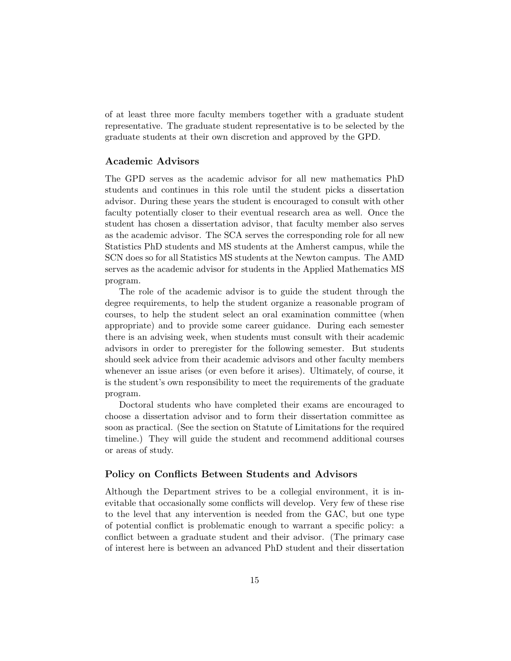of at least three more faculty members together with a graduate student representative. The graduate student representative is to be selected by the graduate students at their own discretion and approved by the GPD.

#### Academic Advisors

The GPD serves as the academic advisor for all new mathematics PhD students and continues in this role until the student picks a dissertation advisor. During these years the student is encouraged to consult with other faculty potentially closer to their eventual research area as well. Once the student has chosen a dissertation advisor, that faculty member also serves as the academic advisor. The SCA serves the corresponding role for all new Statistics PhD students and MS students at the Amherst campus, while the SCN does so for all Statistics MS students at the Newton campus. The AMD serves as the academic advisor for students in the Applied Mathematics MS program.

The role of the academic advisor is to guide the student through the degree requirements, to help the student organize a reasonable program of courses, to help the student select an oral examination committee (when appropriate) and to provide some career guidance. During each semester there is an advising week, when students must consult with their academic advisors in order to preregister for the following semester. But students should seek advice from their academic advisors and other faculty members whenever an issue arises (or even before it arises). Ultimately, of course, it is the student's own responsibility to meet the requirements of the graduate program.

Doctoral students who have completed their exams are encouraged to choose a dissertation advisor and to form their dissertation committee as soon as practical. (See the section on Statute of Limitations for the required timeline.) They will guide the student and recommend additional courses or areas of study.

#### Policy on Conflicts Between Students and Advisors

Although the Department strives to be a collegial environment, it is inevitable that occasionally some conflicts will develop. Very few of these rise to the level that any intervention is needed from the GAC, but one type of potential conflict is problematic enough to warrant a specific policy: a conflict between a graduate student and their advisor. (The primary case of interest here is between an advanced PhD student and their dissertation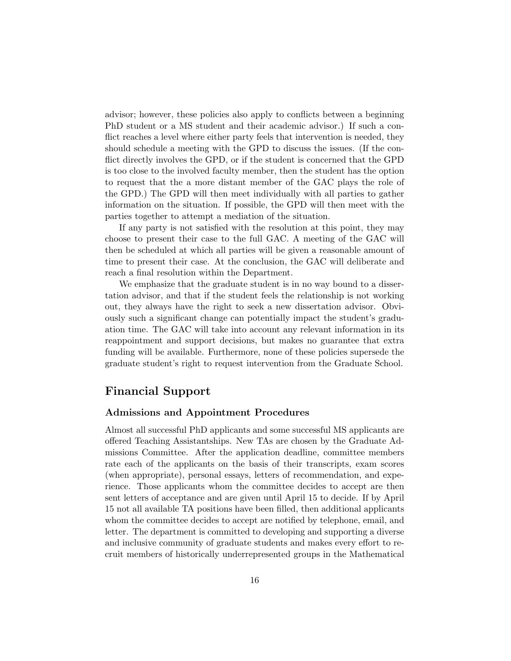advisor; however, these policies also apply to conflicts between a beginning PhD student or a MS student and their academic advisor.) If such a conflict reaches a level where either party feels that intervention is needed, they should schedule a meeting with the GPD to discuss the issues. (If the conflict directly involves the GPD, or if the student is concerned that the GPD is too close to the involved faculty member, then the student has the option to request that the a more distant member of the GAC plays the role of the GPD.) The GPD will then meet individually with all parties to gather information on the situation. If possible, the GPD will then meet with the parties together to attempt a mediation of the situation.

If any party is not satisfied with the resolution at this point, they may choose to present their case to the full GAC. A meeting of the GAC will then be scheduled at which all parties will be given a reasonable amount of time to present their case. At the conclusion, the GAC will deliberate and reach a final resolution within the Department.

We emphasize that the graduate student is in no way bound to a dissertation advisor, and that if the student feels the relationship is not working out, they always have the right to seek a new dissertation advisor. Obviously such a significant change can potentially impact the student's graduation time. The GAC will take into account any relevant information in its reappointment and support decisions, but makes no guarantee that extra funding will be available. Furthermore, none of these policies supersede the graduate student's right to request intervention from the Graduate School.

# Financial Support

#### Admissions and Appointment Procedures

Almost all successful PhD applicants and some successful MS applicants are offered Teaching Assistantships. New TAs are chosen by the Graduate Admissions Committee. After the application deadline, committee members rate each of the applicants on the basis of their transcripts, exam scores (when appropriate), personal essays, letters of recommendation, and experience. Those applicants whom the committee decides to accept are then sent letters of acceptance and are given until April 15 to decide. If by April 15 not all available TA positions have been filled, then additional applicants whom the committee decides to accept are notified by telephone, email, and letter. The department is committed to developing and supporting a diverse and inclusive community of graduate students and makes every effort to recruit members of historically underrepresented groups in the Mathematical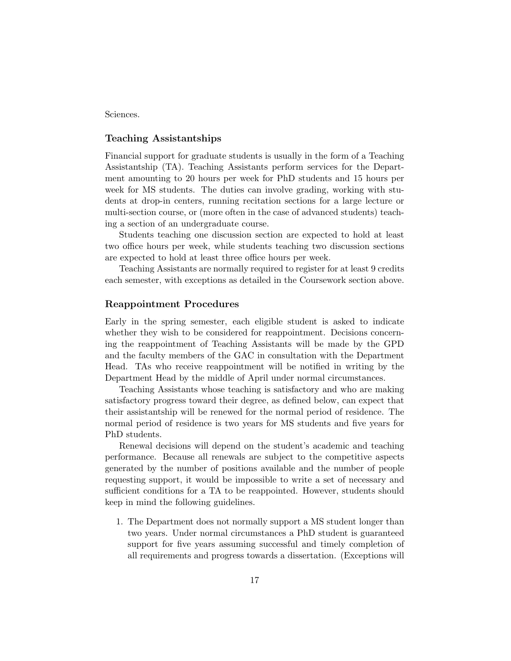Sciences.

#### Teaching Assistantships

Financial support for graduate students is usually in the form of a Teaching Assistantship (TA). Teaching Assistants perform services for the Department amounting to 20 hours per week for PhD students and 15 hours per week for MS students. The duties can involve grading, working with students at drop-in centers, running recitation sections for a large lecture or multi-section course, or (more often in the case of advanced students) teaching a section of an undergraduate course.

Students teaching one discussion section are expected to hold at least two office hours per week, while students teaching two discussion sections are expected to hold at least three office hours per week.

Teaching Assistants are normally required to register for at least 9 credits each semester, with exceptions as detailed in the Coursework section above.

#### Reappointment Procedures

Early in the spring semester, each eligible student is asked to indicate whether they wish to be considered for reappointment. Decisions concerning the reappointment of Teaching Assistants will be made by the GPD and the faculty members of the GAC in consultation with the Department Head. TAs who receive reappointment will be notified in writing by the Department Head by the middle of April under normal circumstances.

Teaching Assistants whose teaching is satisfactory and who are making satisfactory progress toward their degree, as defined below, can expect that their assistantship will be renewed for the normal period of residence. The normal period of residence is two years for MS students and five years for PhD students.

Renewal decisions will depend on the student's academic and teaching performance. Because all renewals are subject to the competitive aspects generated by the number of positions available and the number of people requesting support, it would be impossible to write a set of necessary and sufficient conditions for a TA to be reappointed. However, students should keep in mind the following guidelines.

1. The Department does not normally support a MS student longer than two years. Under normal circumstances a PhD student is guaranteed support for five years assuming successful and timely completion of all requirements and progress towards a dissertation. (Exceptions will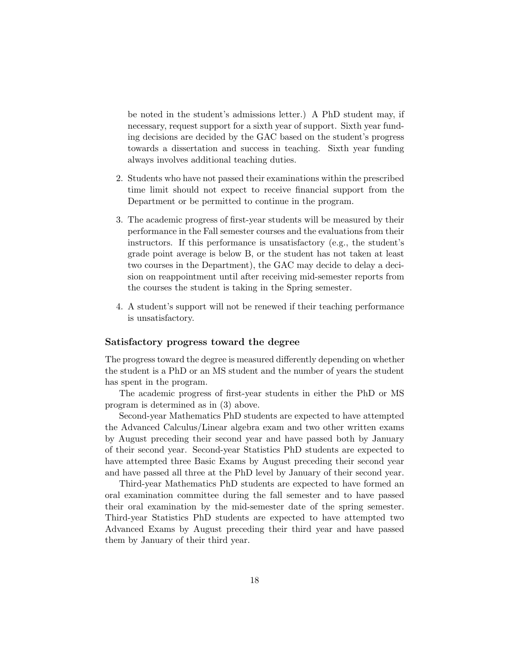be noted in the student's admissions letter.) A PhD student may, if necessary, request support for a sixth year of support. Sixth year funding decisions are decided by the GAC based on the student's progress towards a dissertation and success in teaching. Sixth year funding always involves additional teaching duties.

- 2. Students who have not passed their examinations within the prescribed time limit should not expect to receive financial support from the Department or be permitted to continue in the program.
- 3. The academic progress of first-year students will be measured by their performance in the Fall semester courses and the evaluations from their instructors. If this performance is unsatisfactory (e.g., the student's grade point average is below B, or the student has not taken at least two courses in the Department), the GAC may decide to delay a decision on reappointment until after receiving mid-semester reports from the courses the student is taking in the Spring semester.
- 4. A student's support will not be renewed if their teaching performance is unsatisfactory.

#### Satisfactory progress toward the degree

The progress toward the degree is measured differently depending on whether the student is a PhD or an MS student and the number of years the student has spent in the program.

The academic progress of first-year students in either the PhD or MS program is determined as in (3) above.

Second-year Mathematics PhD students are expected to have attempted the Advanced Calculus/Linear algebra exam and two other written exams by August preceding their second year and have passed both by January of their second year. Second-year Statistics PhD students are expected to have attempted three Basic Exams by August preceding their second year and have passed all three at the PhD level by January of their second year.

Third-year Mathematics PhD students are expected to have formed an oral examination committee during the fall semester and to have passed their oral examination by the mid-semester date of the spring semester. Third-year Statistics PhD students are expected to have attempted two Advanced Exams by August preceding their third year and have passed them by January of their third year.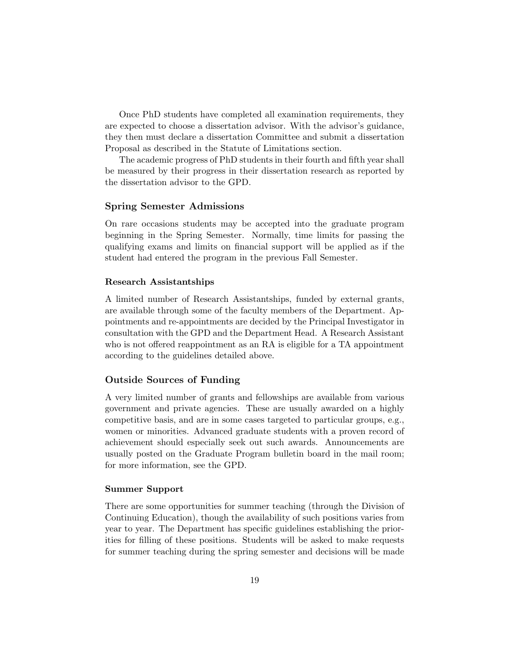Once PhD students have completed all examination requirements, they are expected to choose a dissertation advisor. With the advisor's guidance, they then must declare a dissertation Committee and submit a dissertation Proposal as described in the Statute of Limitations section.

The academic progress of PhD students in their fourth and fifth year shall be measured by their progress in their dissertation research as reported by the dissertation advisor to the GPD.

#### Spring Semester Admissions

On rare occasions students may be accepted into the graduate program beginning in the Spring Semester. Normally, time limits for passing the qualifying exams and limits on financial support will be applied as if the student had entered the program in the previous Fall Semester.

#### Research Assistantships

A limited number of Research Assistantships, funded by external grants, are available through some of the faculty members of the Department. Appointments and re-appointments are decided by the Principal Investigator in consultation with the GPD and the Department Head. A Research Assistant who is not offered reappointment as an RA is eligible for a TA appointment according to the guidelines detailed above.

#### Outside Sources of Funding

A very limited number of grants and fellowships are available from various government and private agencies. These are usually awarded on a highly competitive basis, and are in some cases targeted to particular groups, e.g., women or minorities. Advanced graduate students with a proven record of achievement should especially seek out such awards. Announcements are usually posted on the Graduate Program bulletin board in the mail room; for more information, see the GPD.

#### Summer Support

There are some opportunities for summer teaching (through the Division of Continuing Education), though the availability of such positions varies from year to year. The Department has specific guidelines establishing the priorities for filling of these positions. Students will be asked to make requests for summer teaching during the spring semester and decisions will be made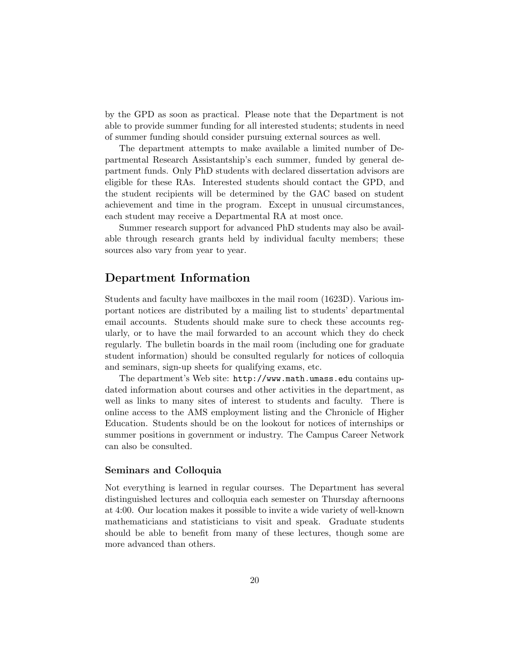by the GPD as soon as practical. Please note that the Department is not able to provide summer funding for all interested students; students in need of summer funding should consider pursuing external sources as well.

The department attempts to make available a limited number of Departmental Research Assistantship's each summer, funded by general department funds. Only PhD students with declared dissertation advisors are eligible for these RAs. Interested students should contact the GPD, and the student recipients will be determined by the GAC based on student achievement and time in the program. Except in unusual circumstances, each student may receive a Departmental RA at most once.

Summer research support for advanced PhD students may also be available through research grants held by individual faculty members; these sources also vary from year to year.

# Department Information

Students and faculty have mailboxes in the mail room (1623D). Various important notices are distributed by a mailing list to students' departmental email accounts. Students should make sure to check these accounts regularly, or to have the mail forwarded to an account which they do check regularly. The bulletin boards in the mail room (including one for graduate student information) should be consulted regularly for notices of colloquia and seminars, sign-up sheets for qualifying exams, etc.

The department's Web site: http://www.math.umass.edu contains updated information about courses and other activities in the department, as well as links to many sites of interest to students and faculty. There is online access to the AMS employment listing and the Chronicle of Higher Education. Students should be on the lookout for notices of internships or summer positions in government or industry. The Campus Career Network can also be consulted.

#### Seminars and Colloquia

Not everything is learned in regular courses. The Department has several distinguished lectures and colloquia each semester on Thursday afternoons at 4:00. Our location makes it possible to invite a wide variety of well-known mathematicians and statisticians to visit and speak. Graduate students should be able to benefit from many of these lectures, though some are more advanced than others.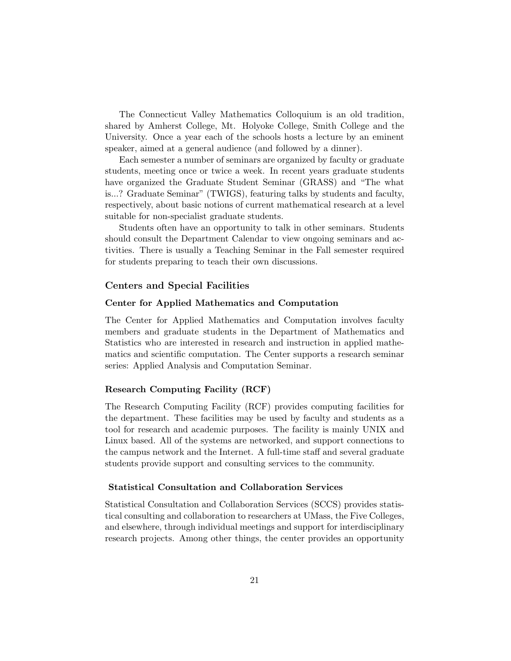The Connecticut Valley Mathematics Colloquium is an old tradition, shared by Amherst College, Mt. Holyoke College, Smith College and the University. Once a year each of the schools hosts a lecture by an eminent speaker, aimed at a general audience (and followed by a dinner).

Each semester a number of seminars are organized by faculty or graduate students, meeting once or twice a week. In recent years graduate students have organized the Graduate Student Seminar (GRASS) and "The what is...? Graduate Seminar" (TWIGS), featuring talks by students and faculty, respectively, about basic notions of current mathematical research at a level suitable for non-specialist graduate students.

Students often have an opportunity to talk in other seminars. Students should consult the Department Calendar to view ongoing seminars and activities. There is usually a Teaching Seminar in the Fall semester required for students preparing to teach their own discussions.

#### Centers and Special Facilities

#### Center for Applied Mathematics and Computation

The Center for Applied Mathematics and Computation involves faculty members and graduate students in the Department of Mathematics and Statistics who are interested in research and instruction in applied mathematics and scientific computation. The Center supports a research seminar series: Applied Analysis and Computation Seminar.

#### Research Computing Facility (RCF)

The Research Computing Facility (RCF) provides computing facilities for the department. These facilities may be used by faculty and students as a tool for research and academic purposes. The facility is mainly UNIX and Linux based. All of the systems are networked, and support connections to the campus network and the Internet. A full-time staff and several graduate students provide support and consulting services to the community.

#### Statistical Consultation and Collaboration Services

Statistical Consultation and Collaboration Services (SCCS) provides statistical consulting and collaboration to researchers at UMass, the Five Colleges, and elsewhere, through individual meetings and support for interdisciplinary research projects. Among other things, the center provides an opportunity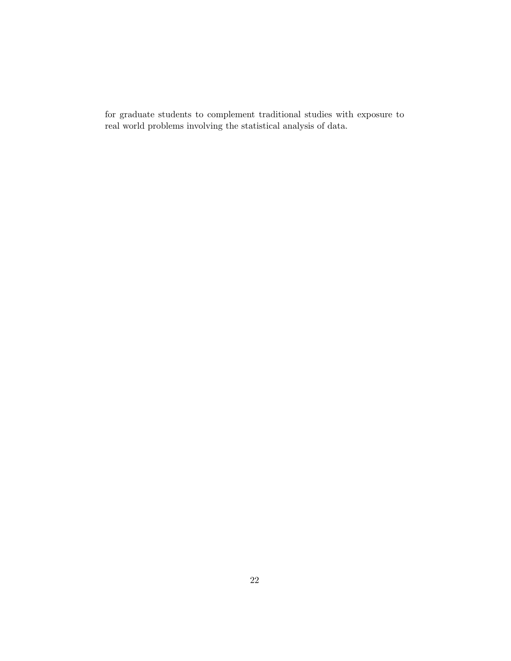for graduate students to complement traditional studies with exposure to real world problems involving the statistical analysis of data.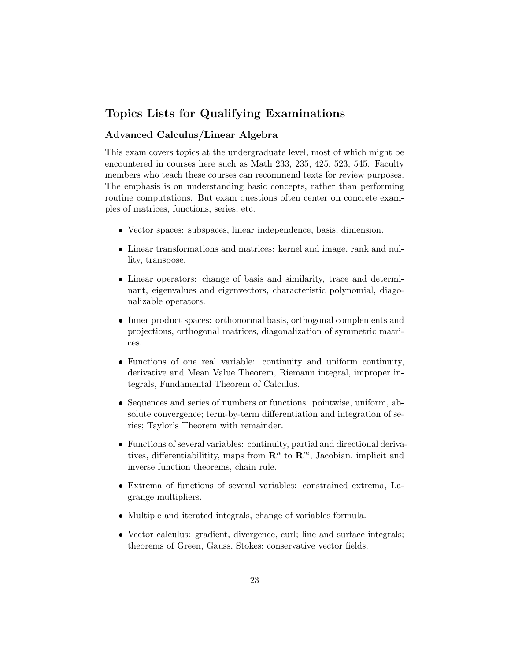# Topics Lists for Qualifying Examinations

# Advanced Calculus/Linear Algebra

This exam covers topics at the undergraduate level, most of which might be encountered in courses here such as Math 233, 235, 425, 523, 545. Faculty members who teach these courses can recommend texts for review purposes. The emphasis is on understanding basic concepts, rather than performing routine computations. But exam questions often center on concrete examples of matrices, functions, series, etc.

- Vector spaces: subspaces, linear independence, basis, dimension.
- Linear transformations and matrices: kernel and image, rank and nullity, transpose.
- Linear operators: change of basis and similarity, trace and determinant, eigenvalues and eigenvectors, characteristic polynomial, diagonalizable operators.
- Inner product spaces: orthonormal basis, orthogonal complements and projections, orthogonal matrices, diagonalization of symmetric matrices.
- Functions of one real variable: continuity and uniform continuity, derivative and Mean Value Theorem, Riemann integral, improper integrals, Fundamental Theorem of Calculus.
- Sequences and series of numbers or functions: pointwise, uniform, absolute convergence; term-by-term differentiation and integration of series; Taylor's Theorem with remainder.
- Functions of several variables: continuity, partial and directional derivatives, differentiabilitity, maps from  $\mathbb{R}^n$  to  $\mathbb{R}^m$ , Jacobian, implicit and inverse function theorems, chain rule.
- Extrema of functions of several variables: constrained extrema, Lagrange multipliers.
- Multiple and iterated integrals, change of variables formula.
- Vector calculus: gradient, divergence, curl; line and surface integrals; theorems of Green, Gauss, Stokes; conservative vector fields.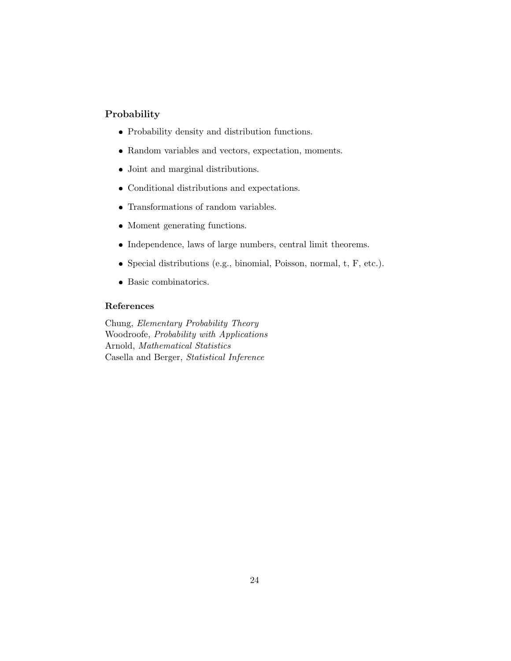# Probability

- Probability density and distribution functions.
- Random variables and vectors, expectation, moments.
- Joint and marginal distributions.
- Conditional distributions and expectations.
- Transformations of random variables.
- Moment generating functions.
- Independence, laws of large numbers, central limit theorems.
- $\bullet$  Special distributions (e.g., binomial, Poisson, normal, t, F, etc.).
- Basic combinatorics.

### References

Chung, Elementary Probability Theory Woodroofe, Probability with Applications Arnold, Mathematical Statistics Casella and Berger, Statistical Inference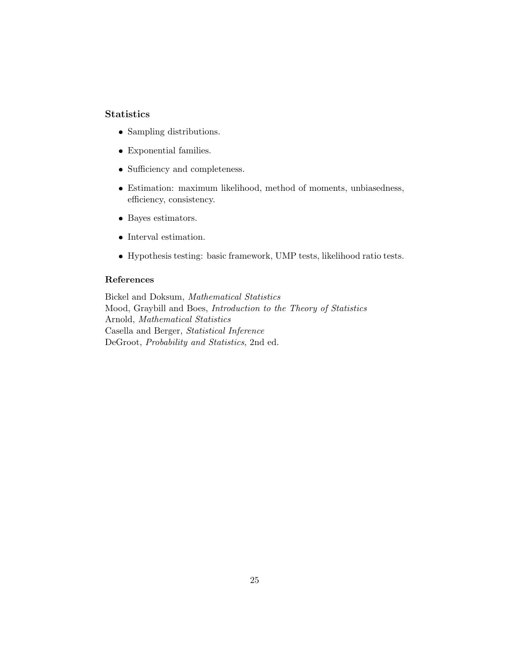# **Statistics**

- Sampling distributions.
- Exponential families.
- Sufficiency and completeness.
- Estimation: maximum likelihood, method of moments, unbiasedness, efficiency, consistency.
- Bayes estimators.
- Interval estimation.
- Hypothesis testing: basic framework, UMP tests, likelihood ratio tests.

# References

Bickel and Doksum, Mathematical Statistics Mood, Graybill and Boes, Introduction to the Theory of Statistics Arnold, Mathematical Statistics Casella and Berger, Statistical Inference DeGroot, Probability and Statistics, 2nd ed.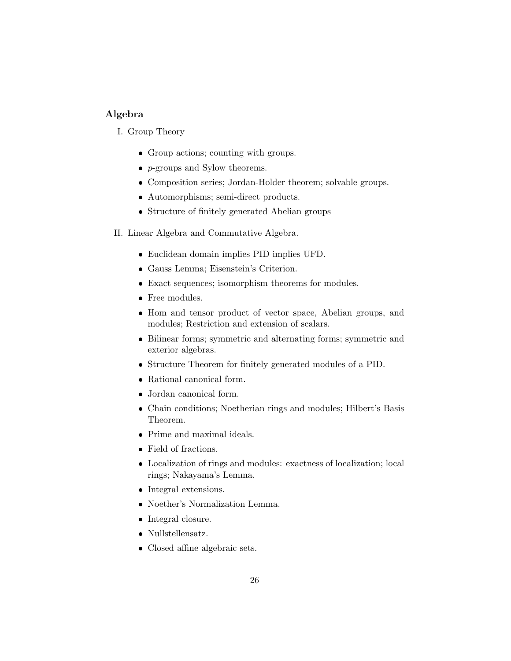# Algebra

- I. Group Theory
	- Group actions; counting with groups.
	- $\bullet$  *p*-groups and Sylow theorems.
	- Composition series; Jordan-Holder theorem; solvable groups.
	- Automorphisms; semi-direct products.
	- Structure of finitely generated Abelian groups
- II. Linear Algebra and Commutative Algebra.
	- Euclidean domain implies PID implies UFD.
	- Gauss Lemma; Eisenstein's Criterion.
	- Exact sequences; isomorphism theorems for modules.
	- Free modules.
	- Hom and tensor product of vector space, Abelian groups, and modules; Restriction and extension of scalars.
	- Bilinear forms; symmetric and alternating forms; symmetric and exterior algebras.
	- Structure Theorem for finitely generated modules of a PID.
	- Rational canonical form.
	- Jordan canonical form.
	- Chain conditions; Noetherian rings and modules; Hilbert's Basis Theorem.
	- Prime and maximal ideals.
	- Field of fractions.
	- Localization of rings and modules: exactness of localization; local rings; Nakayama's Lemma.
	- Integral extensions.
	- Noether's Normalization Lemma.
	- Integral closure.
	- Nullstellensatz.
	- Closed affine algebraic sets.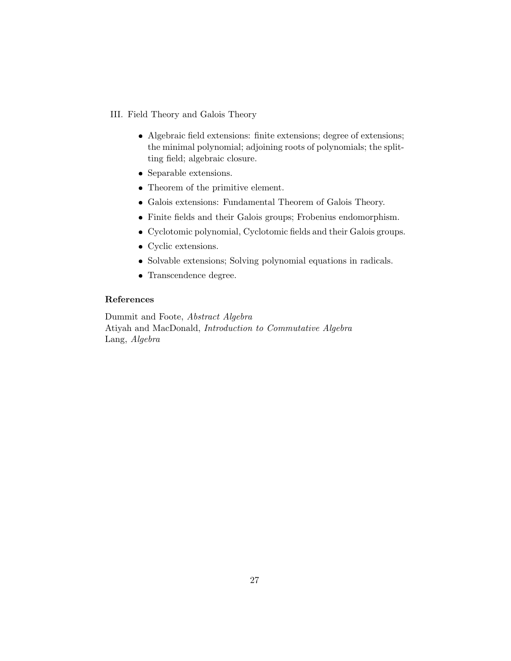# III. Field Theory and Galois Theory

- Algebraic field extensions: finite extensions; degree of extensions; the minimal polynomial; adjoining roots of polynomials; the splitting field; algebraic closure.
- Separable extensions.
- Theorem of the primitive element.
- Galois extensions: Fundamental Theorem of Galois Theory.
- Finite fields and their Galois groups; Frobenius endomorphism.
- Cyclotomic polynomial, Cyclotomic fields and their Galois groups.
- Cyclic extensions.
- Solvable extensions; Solving polynomial equations in radicals.
- Transcendence degree.

### References

Dummit and Foote, Abstract Algebra Atiyah and MacDonald, Introduction to Commutative Algebra Lang, Algebra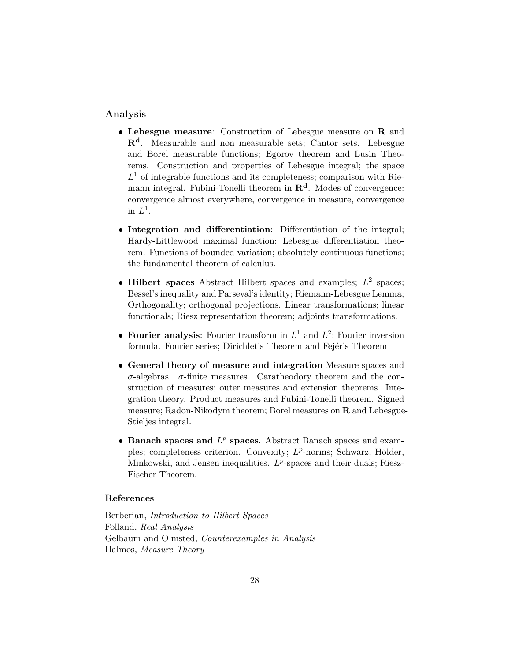### Analysis

- Lebesgue measure: Construction of Lebesgue measure on R and Rd. Measurable and non measurable sets; Cantor sets. Lebesgue and Borel measurable functions; Egorov theorem and Lusin Theorems. Construction and properties of Lebesgue integral; the space  $L<sup>1</sup>$  of integrable functions and its completeness; comparison with Riemann integral. Fubini-Tonelli theorem in  $\mathbb{R}^d$ . Modes of convergence: convergence almost everywhere, convergence in measure, convergence in  $L^1$ .
- Integration and differentiation: Differentiation of the integral; Hardy-Littlewood maximal function; Lebesgue differentiation theorem. Functions of bounded variation; absolutely continuous functions; the fundamental theorem of calculus.
- Hilbert spaces Abstract Hilbert spaces and examples;  $L^2$  spaces; Bessel's inequality and Parseval's identity; Riemann-Lebesgue Lemma; Orthogonality; orthogonal projections. Linear transformations; linear functionals; Riesz representation theorem; adjoints transformations.
- Fourier analysis: Fourier transform in  $L^1$  and  $L^2$ ; Fourier inversion formula. Fourier series; Dirichlet's Theorem and Fejér's Theorem
- General theory of measure and integration Measure spaces and σ-algebras. σ-finite measures. Caratheodory theorem and the construction of measures; outer measures and extension theorems. Integration theory. Product measures and Fubini-Tonelli theorem. Signed measure; Radon-Nikodym theorem; Borel measures on  **and Lebesgue-**Stieljes integral.
- Banach spaces and  $L^p$  spaces. Abstract Banach spaces and examples; completeness criterion. Convexity;  $L^p$ -norms; Schwarz, Hölder, Minkowski, and Jensen inequalities.  $L^p$ -spaces and their duals; Riesz-Fischer Theorem.

# References

Berberian, Introduction to Hilbert Spaces Folland, Real Analysis Gelbaum and Olmsted, Counterexamples in Analysis Halmos, Measure Theory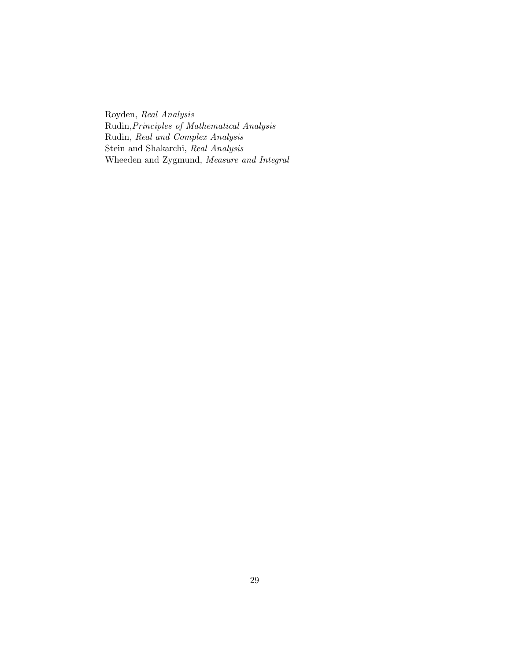Royden, Real Analysis Rudin,Principles of Mathematical Analysis Rudin, Real and Complex Analysis Stein and Shakarchi, Real Analysis Wheeden and Zygmund, Measure and Integral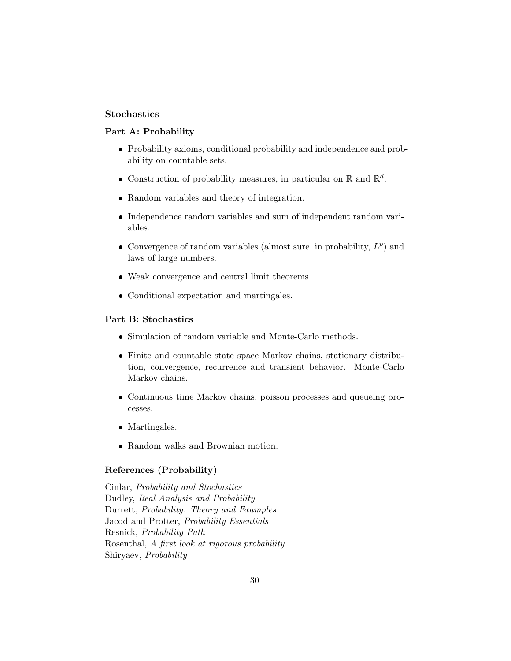# **Stochastics**

### Part A: Probability

- Probability axioms, conditional probability and independence and probability on countable sets.
- Construction of probability measures, in particular on  $\mathbb R$  and  $\mathbb R^d$ .
- Random variables and theory of integration.
- Independence random variables and sum of independent random variables.
- Convergence of random variables (almost sure, in probability,  $L^p$ ) and laws of large numbers.
- Weak convergence and central limit theorems.
- Conditional expectation and martingales.

### Part B: Stochastics

- Simulation of random variable and Monte-Carlo methods.
- Finite and countable state space Markov chains, stationary distribution, convergence, recurrence and transient behavior. Monte-Carlo Markov chains.
- Continuous time Markov chains, poisson processes and queueing processes.
- Martingales.
- Random walks and Brownian motion.

# References (Probability)

Cinlar, Probability and Stochastics Dudley, Real Analysis and Probability Durrett, Probability: Theory and Examples Jacod and Protter, Probability Essentials Resnick, Probability Path Rosenthal, A first look at rigorous probability Shiryaev, Probability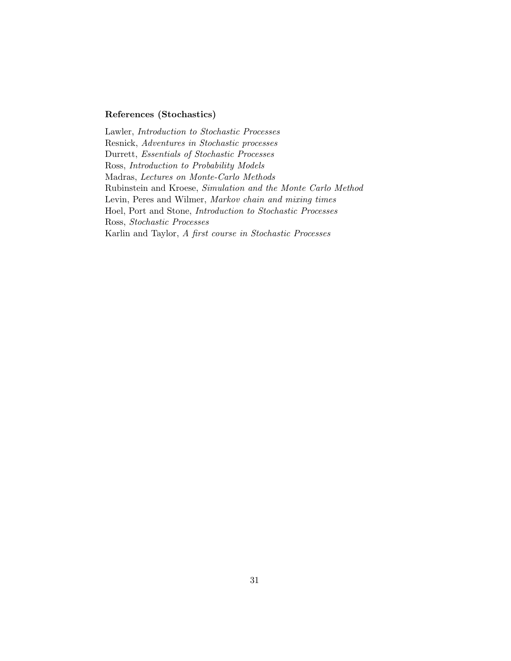# References (Stochastics)

Lawler, Introduction to Stochastic Processes Resnick, Adventures in Stochastic processes Durrett, Essentials of Stochastic Processes Ross, Introduction to Probability Models Madras, Lectures on Monte-Carlo Methods Rubinstein and Kroese, Simulation and the Monte Carlo Method Levin, Peres and Wilmer, Markov chain and mixing times Hoel, Port and Stone, Introduction to Stochastic Processes Ross, Stochastic Processes Karlin and Taylor, A first course in Stochastic Processes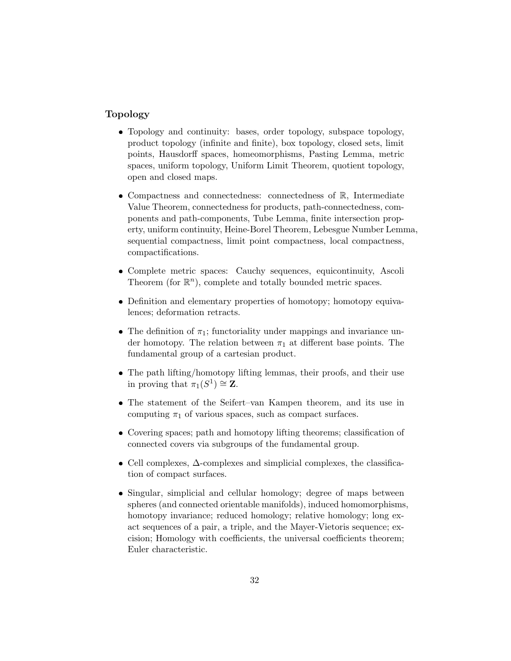# Topology

- Topology and continuity: bases, order topology, subspace topology, product topology (infinite and finite), box topology, closed sets, limit points, Hausdorff spaces, homeomorphisms, Pasting Lemma, metric spaces, uniform topology, Uniform Limit Theorem, quotient topology, open and closed maps.
- Compactness and connectedness: connectedness of R, Intermediate Value Theorem, connectedness for products, path-connectedness, components and path-components, Tube Lemma, finite intersection property, uniform continuity, Heine-Borel Theorem, Lebesgue Number Lemma, sequential compactness, limit point compactness, local compactness, compactifications.
- Complete metric spaces: Cauchy sequences, equicontinuity, Ascoli Theorem (for  $\mathbb{R}^n$ ), complete and totally bounded metric spaces.
- Definition and elementary properties of homotopy; homotopy equivalences; deformation retracts.
- The definition of  $\pi_1$ ; functoriality under mappings and invariance under homotopy. The relation between  $\pi_1$  at different base points. The fundamental group of a cartesian product.
- The path lifting/homotopy lifting lemmas, their proofs, and their use in proving that  $\pi_1(S^1) \cong \mathbf{Z}$ .
- The statement of the Seifert–van Kampen theorem, and its use in computing  $\pi_1$  of various spaces, such as compact surfaces.
- Covering spaces; path and homotopy lifting theorems; classification of connected covers via subgroups of the fundamental group.
- Cell complexes, ∆-complexes and simplicial complexes, the classification of compact surfaces.
- Singular, simplicial and cellular homology; degree of maps between spheres (and connected orientable manifolds), induced homomorphisms, homotopy invariance; reduced homology; relative homology; long exact sequences of a pair, a triple, and the Mayer-Vietoris sequence; excision; Homology with coefficients, the universal coefficients theorem; Euler characteristic.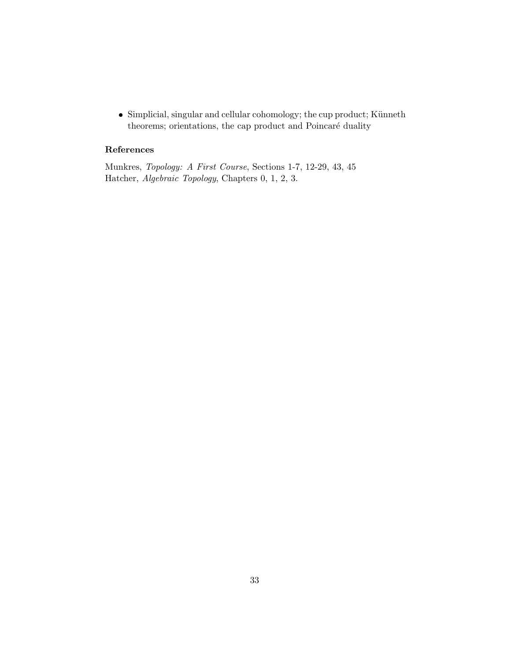• Simplicial, singular and cellular cohomology; the cup product; Künneth theorems; orientations, the cap product and Poincaré duality

# References

Munkres, Topology: A First Course, Sections 1-7, 12-29, 43, 45 Hatcher, Algebraic Topology, Chapters 0, 1, 2, 3.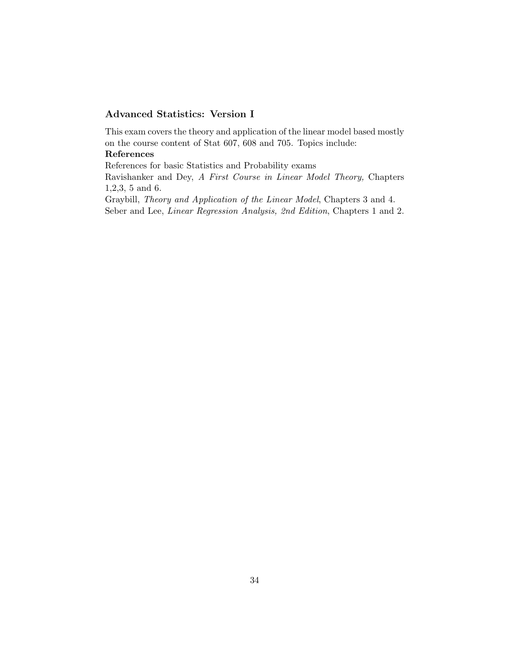# Advanced Statistics: Version I

This exam covers the theory and application of the linear model based mostly on the course content of Stat 607, 608 and 705. Topics include:

# References

References for basic Statistics and Probability exams

Ravishanker and Dey, A First Course in Linear Model Theory, Chapters 1,2,3, 5 and 6.

Graybill, Theory and Application of the Linear Model, Chapters 3 and 4. Seber and Lee, Linear Regression Analysis, 2nd Edition, Chapters 1 and 2.